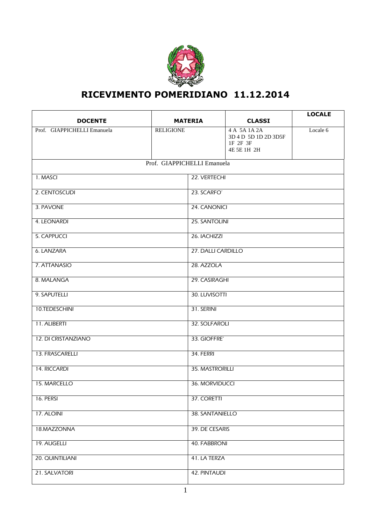

## **RICEVIMENTO POMERIDIANO 11.12.2014**

| <b>DOCENTE</b>              | <b>MATERIA</b>   | <b>CLASSI</b>                                                   | <b>LOCALE</b> |  |
|-----------------------------|------------------|-----------------------------------------------------------------|---------------|--|
| Prof. GIAPPICHELLI Emanuela | <b>RELIGIONE</b> | 4 A 5A 1A 2A<br>3D 4 D 5D 1D 2D 3D5F<br>1F 2F 3F<br>4E 5E 1H 2H | Locale 6      |  |
| Prof. GIAPPICHELLI Emanuela |                  |                                                                 |               |  |
| 1. MASCI                    | 22. VERTECHI     |                                                                 |               |  |
| 2. CENTOSCUDI               | 23. SCARFO'      |                                                                 |               |  |
| 3. PAVONE                   | 24. CANONICI     |                                                                 |               |  |
| 4. LEONARDI                 |                  | 25. SANTOLINI                                                   |               |  |
| 5. CAPPUCCI                 |                  | 26. IACHIZZI                                                    |               |  |
| <b>6. LANZARA</b>           |                  | 27. DALLI CARDILLO                                              |               |  |
| 7. ATTANASIO                | 28. AZZOLA       |                                                                 |               |  |
| 8. MALANGA                  | 29. CASIRAGHI    |                                                                 |               |  |
| 9. SAPUTELLI                | 30. LUVISOTTI    |                                                                 |               |  |
| 10.TEDESCHINI               | 31. SERINI       |                                                                 |               |  |
| 11. ALIBERTI                | 32. SOLFAROLI    |                                                                 |               |  |
| 12. DI CRISTANZIANO         |                  | 33. GIOFFRE'                                                    |               |  |
| 13. FRASCARELLI             | 34. FERRI        |                                                                 |               |  |
| 14. RICCARDI                | 35. MASTRORILLI  |                                                                 |               |  |
| 15. MARCELLO                | 36. MORVIDUCCI   |                                                                 |               |  |
| 16. PERSI                   | 37. CORETTI      |                                                                 |               |  |
| 17. ALOINI                  | 38. SANTANIELLO  |                                                                 |               |  |
| 18.MAZZONNA                 |                  | 39. DE CESARIS                                                  |               |  |
| 19. AUGELLI                 |                  | 40. FABBRONI                                                    |               |  |
| 20. QUINTILIANI             |                  | 41. LA TERZA                                                    |               |  |
| 21. SALVATORI               | 42. PINTAUDI     |                                                                 |               |  |